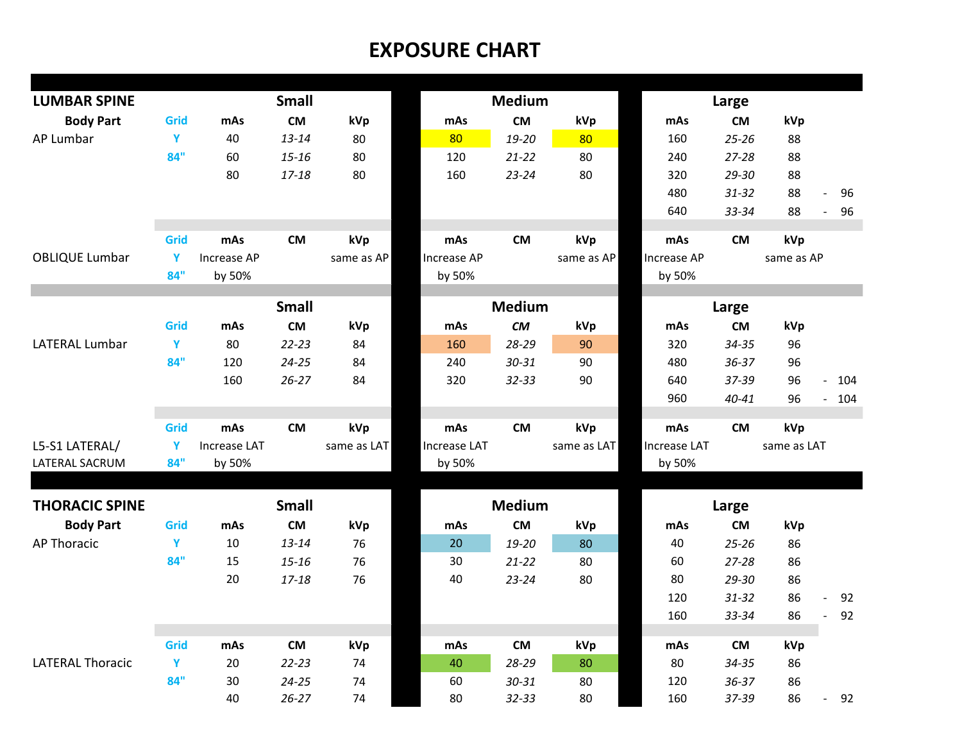## **EXPOSURE CHART**

| <b>LUMBAR SPINE</b>     |          |                     |                           |             | <b>Medium</b> |               |             | Large               |           |             |                       |  |
|-------------------------|----------|---------------------|---------------------------|-------------|---------------|---------------|-------------|---------------------|-----------|-------------|-----------------------|--|
| <b>Body Part</b>        | Grid     | mAs                 | <b>Small</b><br><b>CM</b> | kVp         | mAs           | <b>CM</b>     | kVp         | mAs                 | <b>CM</b> | kVp         |                       |  |
| AP Lumbar               | Y        | 40                  | $13 - 14$                 | 80          | 80            | 19-20         | 80          | 160                 | $25 - 26$ | 88          |                       |  |
|                         | 84"      | 60                  | $15 - 16$                 | 80          | 120           | $21 - 22$     | 80          | 240                 | $27 - 28$ | 88          |                       |  |
|                         |          | 80                  | 17-18                     | 80          | 160           | $23 - 24$     | 80          | 320                 | $29 - 30$ | 88          |                       |  |
|                         |          |                     |                           |             |               |               |             | 480                 | $31 - 32$ | 88          | 96<br>$\overline{a}$  |  |
|                         |          |                     |                           |             |               |               |             | 640                 | 33-34     | 88          | 96<br>$\overline{a}$  |  |
|                         |          |                     |                           |             |               |               |             |                     |           |             |                       |  |
|                         | Grid     | mAs                 | <b>CM</b>                 | kVp         | mAs           | <b>CM</b>     | kVp         | mAs                 | <b>CM</b> | kVp         |                       |  |
| <b>OBLIQUE Lumbar</b>   | Y        | Increase AP         |                           | same as AP  | Increase AP   |               | same as AP  | Increase AP         |           | same as AP  |                       |  |
|                         | 84"      | by 50%              |                           |             | by 50%        |               |             | by 50%              |           |             |                       |  |
|                         |          | <b>Small</b>        |                           |             |               | <b>Medium</b> |             |                     |           |             |                       |  |
|                         |          |                     |                           |             |               |               |             |                     | Large     |             |                       |  |
|                         | Grid     | mAs                 | <b>CM</b>                 | kVp         | mAs           | <b>CM</b>     | kVp         | mAs                 | <b>CM</b> | kVp         |                       |  |
| <b>LATERAL Lumbar</b>   | Y<br>84" | 80                  | $22 - 23$                 | 84          | 160           | 28-29         | 90          | 320                 | $34 - 35$ | 96          |                       |  |
|                         |          | 120                 | $24 - 25$                 | 84          | 240           | $30 - 31$     | 90          | 480                 | $36 - 37$ | 96          |                       |  |
|                         |          | 160                 | $26 - 27$                 | 84          | 320           | $32 - 33$     | 90          | 640                 | 37-39     | 96          | 104<br>$\overline{a}$ |  |
|                         |          |                     |                           |             |               |               |             | 960                 | 40-41     | 96          | 104<br>÷,             |  |
|                         | Grid     | mAs                 | <b>CM</b>                 | kVp         | mAs           | <b>CM</b>     | kVp         | mAs                 | <b>CM</b> | kVp         |                       |  |
| L5-S1 LATERAL/          | Y        | <b>Increase LAT</b> |                           | same as LAT | Increase LAT  |               | same as LAT | <b>Increase LAT</b> |           | same as LAT |                       |  |
| LATERAL SACRUM          | 84"      | by 50%              |                           |             | by 50%        |               |             | by 50%              |           |             |                       |  |
|                         |          |                     |                           |             |               |               |             |                     |           |             |                       |  |
| <b>THORACIC SPINE</b>   |          |                     | <b>Small</b>              |             |               | <b>Medium</b> |             |                     | Large     |             |                       |  |
| <b>Body Part</b>        | Grid     | mAs                 | <b>CM</b>                 | kVp         | mAs           | <b>CM</b>     | kVp         | mAs                 | <b>CM</b> | kVp         |                       |  |
| <b>AP Thoracic</b>      | Y        | 10                  | $13 - 14$                 | 76          | 20            | 19-20         | 80          | 40                  | $25 - 26$ | 86          |                       |  |
|                         | 84"      | 15                  | $15 - 16$                 | 76          | 30            | $21 - 22$     | 80          | 60                  | $27 - 28$ | 86          |                       |  |
|                         |          | 20                  | 17-18                     | 76          | 40            | $23 - 24$     | 80          | 80                  | 29-30     | 86          |                       |  |
|                         |          |                     |                           |             |               |               |             | 120                 | $31 - 32$ | 86          | 92<br>$\overline{a}$  |  |
|                         |          |                     |                           |             |               |               |             | 160                 | 33-34     | 86          | 92                    |  |
|                         |          |                     |                           |             |               |               |             |                     |           |             |                       |  |
|                         | Grid     | mAs                 | <b>CM</b>                 | kVp         | mAs           | <b>CM</b>     | kVp         | mAs                 | <b>CM</b> | kVp         |                       |  |
| <b>LATERAL Thoracic</b> | Y        | 20                  | $22 - 23$                 | 74          | 40            | 28-29         | 80          | 80                  | $34 - 35$ | 86          |                       |  |
|                         | 84"      | 30                  | $24 - 25$                 | 74          | 60            | 30-31         | 80          | 120                 | $36 - 37$ | 86          |                       |  |
|                         |          | 40                  | $26 - 27$                 | 74          | 80            | $32 - 33$     | 80          | 160                 | 37-39     | 86          | 92<br>$\overline{a}$  |  |